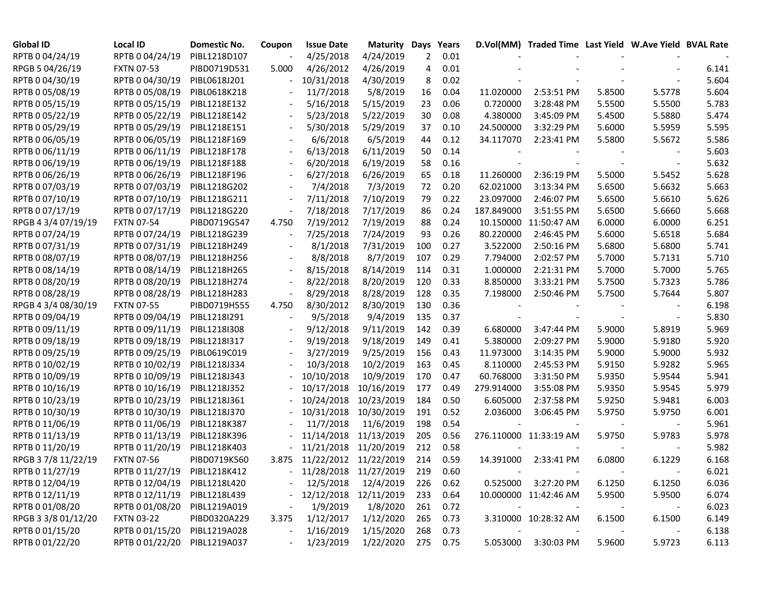| Global ID           | Local ID                     | Domestic No. | Coupon                   | <b>Issue Date</b>          | <b>Maturity Days</b> |     | Years    |            | D.Vol(MM) Traded Time Last Yield W.Ave Yield BVAL Rate |            |                          |       |
|---------------------|------------------------------|--------------|--------------------------|----------------------------|----------------------|-----|----------|------------|--------------------------------------------------------|------------|--------------------------|-------|
| RPTB 0 04/24/19     | RPTB 0 04/24/19              | PIBL1218D107 |                          | 4/25/2018                  | 4/24/2019            | 2   | 0.01     |            |                                                        |            |                          |       |
| RPGB 5 04/26/19     | <b>FXTN 07-53</b>            | PIBD0719D531 | 5.000                    | 4/26/2012                  | 4/26/2019            | 4   | 0.01     |            |                                                        |            |                          | 6.141 |
| RPTB 0 04/30/19     | RPTB 0 04/30/19              | PIBL0618J201 |                          | 10/31/2018                 | 4/30/2019            | 8   | 0.02     |            |                                                        |            |                          | 5.604 |
| RPTB 0 05/08/19     | RPTB 0 05/08/19              | PIBL0618K218 |                          | 11/7/2018                  | 5/8/2019             | 16  | 0.04     | 11.020000  | 2:53:51 PM                                             | 5.8500     | 5.5778                   | 5.604 |
| RPTB 0 05/15/19     | RPTB 0 05/15/19              | PIBL1218E132 |                          | 5/16/2018                  | 5/15/2019            | 23  | 0.06     | 0.720000   | 3:28:48 PM                                             | 5.5500     | 5.5500                   | 5.783 |
| RPTB 0 05/22/19     | RPTB 0 05/22/19              | PIBL1218E142 |                          | 5/23/2018                  | 5/22/2019            | 30  | 0.08     | 4.380000   | 3:45:09 PM                                             | 5.4500     | 5.5880                   | 5.474 |
| RPTB 0 05/29/19     | RPTB 0 05/29/19              | PIBL1218E151 |                          | 5/30/2018                  | 5/29/2019            | 37  | 0.10     | 24.500000  | 3:32:29 PM                                             | 5.6000     | 5.5959                   | 5.595 |
| RPTB 0 06/05/19     | RPTB 0 06/05/19              | PIBL1218F169 |                          | 6/6/2018                   | 6/5/2019             | 44  | 0.12     | 34.117070  | 2:23:41 PM                                             | 5.5800     | 5.5672                   | 5.586 |
| RPTB 0 06/11/19     | RPTB 0 06/11/19              | PIBL1218F178 | $\blacksquare$           | 6/13/2018                  | 6/11/2019            | 50  | 0.14     |            |                                                        |            |                          | 5.603 |
| RPTB 0 06/19/19     | RPTB 0 06/19/19              | PIBL1218F188 | $\overline{\phantom{a}}$ | 6/20/2018                  | 6/19/2019            | 58  | 0.16     |            |                                                        |            | $\blacksquare$           | 5.632 |
| RPTB 0 06/26/19     | RPTB 0 06/26/19              | PIBL1218F196 | $\blacksquare$           | 6/27/2018                  | 6/26/2019            | 65  | 0.18     | 11.260000  | 2:36:19 PM                                             | 5.5000     | 5.5452                   | 5.628 |
| RPTB 0 07/03/19     | RPTB 0 07/03/19              | PIBL1218G202 |                          | 7/4/2018                   | 7/3/2019             | 72  | 0.20     | 62.021000  | 3:13:34 PM                                             | 5.6500     | 5.6632                   | 5.663 |
| RPTB 0 07/10/19     | RPTB 0 07/10/19              | PIBL1218G211 | $\overline{\phantom{a}}$ | 7/11/2018                  | 7/10/2019            | 79  | 0.22     | 23.097000  | 2:46:07 PM                                             | 5.6500     | 5.6610                   | 5.626 |
| RPTB 0 07/17/19     | RPTB 0 07/17/19              | PIBL1218G220 | $\overline{\phantom{a}}$ | 7/18/2018                  | 7/17/2019            | 86  | 0.24     | 187.849000 | 3:51:55 PM                                             | 5.6500     | 5.6660                   | 5.668 |
| RPGB 4 3/4 07/19/19 | <b>FXTN 07-54</b>            | PIBD0719G547 | 4.750                    | 7/19/2012                  | 7/19/2019            | 88  | 0.24     | 10.150000  | 11:50:47 AM                                            | 6.0000     | 6.0000                   | 6.251 |
| RPTB 0 07/24/19     | RPTB 0 07/24/19              | PIBL1218G239 |                          | 7/25/2018                  | 7/24/2019            | 93  | 0.26     | 80.220000  | 2:46:45 PM                                             | 5.6000     | 5.6518                   | 5.684 |
| RPTB 0 07/31/19     | RPTB 0 07/31/19              | PIBL1218H249 |                          | 8/1/2018                   | 7/31/2019            | 100 | 0.27     | 3.522000   | 2:50:16 PM                                             | 5.6800     | 5.6800                   | 5.741 |
| RPTB 0 08/07/19     | RPTB 0 08/07/19              | PIBL1218H256 |                          | 8/8/2018                   | 8/7/2019             | 107 | 0.29     | 7.794000   | 2:02:57 PM                                             | 5.7000     | 5.7131                   | 5.710 |
| RPTB 0 08/14/19     | RPTB 0 08/14/19              | PIBL1218H265 | $\blacksquare$           | 8/15/2018                  | 8/14/2019            | 114 | 0.31     | 1.000000   | 2:21:31 PM                                             | 5.7000     | 5.7000                   | 5.765 |
| RPTB 0 08/20/19     | RPTB 0 08/20/19              | PIBL1218H274 |                          | 8/22/2018                  | 8/20/2019            | 120 | 0.33     | 8.850000   | 3:33:21 PM                                             | 5.7500     | 5.7323                   | 5.786 |
| RPTB 0 08/28/19     | RPTB 0 08/28/19              | PIBL1218H283 |                          | 8/29/2018                  | 8/28/2019            | 128 | 0.35     | 7.198000   | 2:50:46 PM                                             | 5.7500     | 5.7644                   | 5.807 |
| RPGB 4 3/4 08/30/19 | <b>FXTN 07-55</b>            | PIBD0719H555 | 4.750                    | 8/30/2012                  | 8/30/2019            | 130 | 0.36     |            |                                                        |            |                          | 6.198 |
| RPTB 0 09/04/19     | RPTB 0 09/04/19              | PIBL1218I291 |                          | 9/5/2018                   | 9/4/2019             | 135 | 0.37     |            |                                                        |            |                          | 5.830 |
| RPTB 0 09/11/19     | RPTB 0 09/11/19              | PIBL1218I308 |                          | 9/12/2018                  | 9/11/2019            | 142 | 0.39     | 6.680000   | 3:47:44 PM                                             | 5.9000     | 5.8919                   | 5.969 |
| RPTB 0 09/18/19     | RPTB 0 09/18/19              | PIBL1218I317 |                          | 9/19/2018                  | 9/18/2019            | 149 | 0.41     | 5.380000   | 2:09:27 PM                                             | 5.9000     | 5.9180                   | 5.920 |
| RPTB 0 09/25/19     | RPTB 0 09/25/19              | PIBL0619C019 |                          | 3/27/2019                  | 9/25/2019            | 156 | 0.43     | 11.973000  | 3:14:35 PM                                             | 5.9000     | 5.9000                   | 5.932 |
| RPTB 0 10/02/19     | RPTB 0 10/02/19              | PIBL1218J334 |                          | 10/3/2018                  | 10/2/2019            | 163 | 0.45     | 8.110000   | 2:45:53 PM                                             | 5.9150     | 5.9282                   | 5.965 |
| RPTB 0 10/09/19     | RPTB 0 10/09/19              | PIBL1218J343 |                          | 10/10/2018                 | 10/9/2019            | 170 | 0.47     | 60.768000  | 3:31:50 PM                                             | 5.9350     | 5.9544                   | 5.941 |
| RPTB 0 10/16/19     | RPTB 0 10/16/19              | PIBL1218J352 |                          | 10/17/2018                 | 10/16/2019           | 177 | 0.49     | 279.914000 | 3:55:08 PM                                             | 5.9350     | 5.9545                   | 5.979 |
| RPTB 0 10/23/19     | RPTB 0 10/23/19              | PIBL1218J361 |                          | 10/24/2018                 | 10/23/2019           | 184 | 0.50     | 6.605000   | 2:37:58 PM                                             | 5.9250     | 5.9481                   | 6.003 |
| RPTB 0 10/30/19     | RPTB 0 10/30/19              | PIBL1218J370 |                          | 10/31/2018                 | 10/30/2019           | 191 | 0.52     | 2.036000   | 3:06:45 PM                                             | 5.9750     | 5.9750                   | 6.001 |
| RPTB 0 11/06/19     | RPTB 0 11/06/19              | PIBL1218K387 |                          | 11/7/2018                  | 11/6/2019            | 198 | 0.54     |            |                                                        |            |                          | 5.961 |
| RPTB 0 11/13/19     | RPTB 0 11/13/19              | PIBL1218K396 |                          | 11/14/2018                 | 11/13/2019           | 205 | 0.56     |            | 276.110000 11:33:19 AM                                 | 5.9750     | 5.9783                   | 5.978 |
| RPTB 0 11/20/19     | RPTB 0 11/20/19              | PIBL1218K403 |                          | 11/21/2018 11/20/2019      |                      | 212 | 0.58     |            |                                                        |            |                          | 5.982 |
| RPGB 37/8 11/22/19  | <b>FXTN 07-56</b>            | PIBD0719K560 | 3.875                    | 11/22/2012 11/22/2019      |                      | 214 | 0.59     | 14.391000  | 2:33:41 PM                                             | 6.0800     | 6.1229                   | 6.168 |
| RPTB 0 11/27/19     | RPTB 0 11/27/19              | PIBL1218K412 |                          | - 11/28/2018 11/27/2019    |                      | 219 | 0.60     |            |                                                        |            |                          | 6.021 |
| RPTB 0 12/04/19     | RPTB 0 12/04/19              | PIBL1218L420 |                          | 12/5/2018                  | 12/4/2019            | 226 | 0.62     |            | 0.525000 3:27:20 PM                                    | 6.1250     | 6.1250                   | 6.036 |
| RPTB 0 12/11/19     | RPTB 0 12/11/19              | PIBL1218L439 |                          | $-12/12/2018$ $12/11/2019$ |                      | 233 | 0.64     |            | 10.000000 11:42:46 AM                                  | 5.9500     | 5.9500                   | 6.074 |
| RPTB 0 01/08/20     | RPTB 0 01/08/20              | PIBL1219A019 |                          | 1/9/2019                   | 1/8/2020             | 261 | 0.72     | $\sim$     |                                                        | $\sim$ $-$ | $\overline{\phantom{a}}$ | 6.023 |
| RPGB 3 3/8 01/12/20 | <b>FXTN 03-22</b>            | PIBD0320A229 | 3.375                    | 1/12/2017                  | 1/12/2020            | 265 | 0.73     |            | 3.310000 10:28:32 AM                                   | 6.1500     | 6.1500                   | 6.149 |
| RPTB 0 01/15/20     | RPTB 0 01/15/20 PIBL1219A028 |              | $\blacksquare$           | 1/16/2019                  | 1/15/2020            | 268 | 0.73     | $\sim$     |                                                        |            |                          | 6.138 |
| RPTB 0 01/22/20     | RPTB 0 01/22/20 PIBL1219A037 |              |                          | 1/23/2019                  | 1/22/2020            |     | 275 0.75 |            | 5.053000 3:30:03 PM                                    | 5.9600     | 5.9723                   | 6.113 |
|                     |                              |              |                          |                            |                      |     |          |            |                                                        |            |                          |       |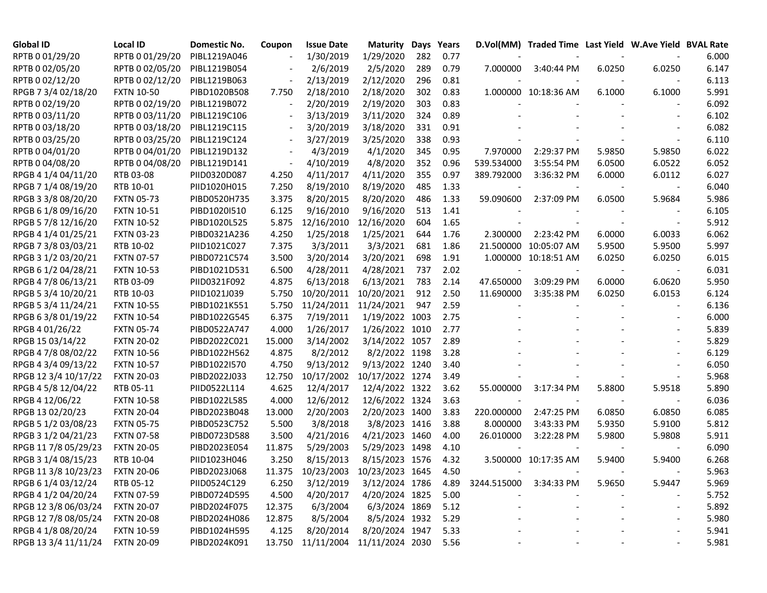| Global ID            | <b>Local ID</b>   | Domestic No. | Coupon                   | <b>Issue Date</b>                 | Maturity                   |     | Days Years |                          | D.Vol(MM) Traded Time Last Yield W.Ave Yield BVAL Rate |        |                          |       |
|----------------------|-------------------|--------------|--------------------------|-----------------------------------|----------------------------|-----|------------|--------------------------|--------------------------------------------------------|--------|--------------------------|-------|
| RPTB 0 01/29/20      | RPTB 0 01/29/20   | PIBL1219A046 |                          | 1/30/2019                         | 1/29/2020                  | 282 | 0.77       |                          |                                                        |        |                          | 6.000 |
| RPTB 0 02/05/20      | RPTB 0 02/05/20   | PIBL1219B054 |                          | 2/6/2019                          | 2/5/2020                   | 289 | 0.79       | 7.000000                 | 3:40:44 PM                                             | 6.0250 | 6.0250                   | 6.147 |
| RPTB 0 02/12/20      | RPTB 0 02/12/20   | PIBL1219B063 | $\overline{\phantom{a}}$ | 2/13/2019                         | 2/12/2020                  | 296 | 0.81       |                          |                                                        |        |                          | 6.113 |
| RPGB 7 3/4 02/18/20  | <b>FXTN 10-50</b> | PIBD1020B508 | 7.750                    | 2/18/2010                         | 2/18/2020                  | 302 | 0.83       |                          | 1.000000 10:18:36 AM                                   | 6.1000 | 6.1000                   | 5.991 |
| RPTB 0 02/19/20      | RPTB 0 02/19/20   | PIBL1219B072 | $\overline{\phantom{a}}$ | 2/20/2019                         | 2/19/2020                  | 303 | 0.83       |                          |                                                        |        |                          | 6.092 |
| RPTB 0 03/11/20      | RPTB 0 03/11/20   | PIBL1219C106 |                          | 3/13/2019                         | 3/11/2020                  | 324 | 0.89       |                          |                                                        |        |                          | 6.102 |
| RPTB 0 03/18/20      | RPTB 0 03/18/20   | PIBL1219C115 | $\overline{\phantom{a}}$ | 3/20/2019                         | 3/18/2020                  | 331 | 0.91       |                          |                                                        |        |                          | 6.082 |
| RPTB 0 03/25/20      | RPTB 0 03/25/20   | PIBL1219C124 | $\blacksquare$           | 3/27/2019                         | 3/25/2020                  | 338 | 0.93       |                          |                                                        |        |                          | 6.110 |
| RPTB 0 04/01/20      | RPTB 0 04/01/20   | PIBL1219D132 |                          | 4/3/2019                          | 4/1/2020                   | 345 | 0.95       | 7.970000                 | 2:29:37 PM                                             | 5.9850 | 5.9850                   | 6.022 |
| RPTB 0 04/08/20      | RPTB 0 04/08/20   | PIBL1219D141 | $\overline{\phantom{a}}$ | 4/10/2019                         | 4/8/2020                   | 352 | 0.96       | 539.534000               | 3:55:54 PM                                             | 6.0500 | 6.0522                   | 6.052 |
| RPGB 4 1/4 04/11/20  | RTB 03-08         | PIID0320D087 | 4.250                    | 4/11/2017                         | 4/11/2020                  | 355 | 0.97       | 389.792000               | 3:36:32 PM                                             | 6.0000 | 6.0112                   | 6.027 |
| RPGB 7 1/4 08/19/20  | RTB 10-01         | PIID1020H015 | 7.250                    | 8/19/2010                         | 8/19/2020                  | 485 | 1.33       |                          |                                                        |        |                          | 6.040 |
| RPGB 3 3/8 08/20/20  | <b>FXTN 05-73</b> | PIBD0520H735 | 3.375                    | 8/20/2015                         | 8/20/2020                  | 486 | 1.33       | 59.090600                | 2:37:09 PM                                             | 6.0500 | 5.9684                   | 5.986 |
| RPGB 6 1/8 09/16/20  | <b>FXTN 10-51</b> | PIBD1020I510 | 6.125                    | 9/16/2010                         | 9/16/2020                  | 513 | 1.41       |                          |                                                        |        |                          | 6.105 |
| RPGB 5 7/8 12/16/20  | <b>FXTN 10-52</b> | PIBD1020L525 | 5.875                    | 12/16/2010                        | 12/16/2020                 | 604 | 1.65       |                          |                                                        |        |                          | 5.912 |
| RPGB 4 1/4 01/25/21  | <b>FXTN 03-23</b> | PIBD0321A236 | 4.250                    | 1/25/2018                         | 1/25/2021                  | 644 | 1.76       | 2.300000                 | 2:23:42 PM                                             | 6.0000 | 6.0033                   | 6.062 |
| RPGB 7 3/8 03/03/21  | RTB 10-02         | PIID1021C027 | 7.375                    | 3/3/2011                          | 3/3/2021                   | 681 | 1.86       |                          | 21.500000 10:05:07 AM                                  | 5.9500 | 5.9500                   | 5.997 |
| RPGB 3 1/2 03/20/21  | <b>FXTN 07-57</b> | PIBD0721C574 | 3.500                    | 3/20/2014                         | 3/20/2021                  | 698 | 1.91       |                          | 1.000000 10:18:51 AM                                   | 6.0250 | 6.0250                   | 6.015 |
| RPGB 6 1/2 04/28/21  | <b>FXTN 10-53</b> | PIBD1021D531 | 6.500                    | 4/28/2011                         | 4/28/2021                  | 737 | 2.02       | $\overline{\phantom{a}}$ |                                                        |        |                          | 6.031 |
| RPGB 4 7/8 06/13/21  | RTB 03-09         | PIID0321F092 | 4.875                    | 6/13/2018                         | 6/13/2021                  | 783 | 2.14       | 47.650000                | 3:09:29 PM                                             | 6.0000 | 6.0620                   | 5.950 |
| RPGB 5 3/4 10/20/21  | RTB 10-03         | PIID1021J039 | 5.750                    | 10/20/2011                        | 10/20/2021                 | 912 | 2.50       | 11.690000                | 3:35:38 PM                                             | 6.0250 | 6.0153                   | 6.124 |
| RPGB 5 3/4 11/24/21  | <b>FXTN 10-55</b> | PIBD1021K551 | 5.750                    | 11/24/2011                        | 11/24/2021                 | 947 | 2.59       |                          |                                                        |        |                          | 6.136 |
| RPGB 63/8 01/19/22   | <b>FXTN 10-54</b> | PIBD1022G545 | 6.375                    | 7/19/2011                         | 1/19/2022 1003             |     | 2.75       |                          |                                                        |        |                          | 6.000 |
| RPGB 4 01/26/22      | <b>FXTN 05-74</b> | PIBD0522A747 | 4.000                    | 1/26/2017                         | 1/26/2022 1010             |     | 2.77       |                          |                                                        |        |                          | 5.839 |
| RPGB 15 03/14/22     | <b>FXTN 20-02</b> | PIBD2022C021 | 15.000                   | 3/14/2002                         | 3/14/2022 1057             |     | 2.89       |                          |                                                        |        |                          | 5.829 |
| RPGB 4 7/8 08/02/22  | <b>FXTN 10-56</b> | PIBD1022H562 | 4.875                    | 8/2/2012                          | 8/2/2022 1198              |     | 3.28       |                          |                                                        |        |                          | 6.129 |
| RPGB 4 3/4 09/13/22  | <b>FXTN 10-57</b> | PIBD1022I570 | 4.750                    | 9/13/2012                         | 9/13/2022 1240             |     | 3.40       |                          |                                                        |        |                          | 6.050 |
| RPGB 12 3/4 10/17/22 | <b>FXTN 20-03</b> | PIBD2022J033 | 12.750                   | 10/17/2002                        | 10/17/2022 1274            |     | 3.49       |                          |                                                        |        |                          | 5.968 |
| RPGB 4 5/8 12/04/22  | RTB 05-11         | PIID0522L114 | 4.625                    | 12/4/2017                         | 12/4/2022 1322             |     | 3.62       | 55.000000                | 3:17:34 PM                                             | 5.8800 | 5.9518                   | 5.890 |
| RPGB 4 12/06/22      | <b>FXTN 10-58</b> | PIBD1022L585 | 4.000                    | 12/6/2012                         | 12/6/2022 1324             |     | 3.63       |                          |                                                        |        |                          | 6.036 |
| RPGB 13 02/20/23     | <b>FXTN 20-04</b> | PIBD2023B048 | 13.000                   | 2/20/2003                         | 2/20/2023 1400             |     | 3.83       | 220.000000               | 2:47:25 PM                                             | 6.0850 | 6.0850                   | 6.085 |
| RPGB 5 1/2 03/08/23  | <b>FXTN 05-75</b> | PIBD0523C752 | 5.500                    | 3/8/2018                          | 3/8/2023 1416              |     | 3.88       | 8.000000                 | 3:43:33 PM                                             | 5.9350 | 5.9100                   | 5.812 |
| RPGB 3 1/2 04/21/23  | <b>FXTN 07-58</b> | PIBD0723D588 | 3.500                    | 4/21/2016                         | 4/21/2023 1460             |     | 4.00       | 26.010000                | 3:22:28 PM                                             | 5.9800 | 5.9808                   | 5.911 |
| RPGB 11 7/8 05/29/23 | <b>FXTN 20-05</b> | PIBD2023E054 | 11.875                   | 5/29/2003                         | 5/29/2023 1498             |     | 4.10       |                          |                                                        |        |                          | 6.090 |
| RPGB 3 1/4 08/15/23  | RTB 10-04         | PIID1023H046 | 3.250                    | 8/15/2013                         | 8/15/2023 1576             |     | 4.32       |                          | 3.500000 10:17:35 AM                                   | 5.9400 | 5.9400                   | 6.268 |
| RPGB 11 3/8 10/23/23 | <b>FXTN 20-06</b> | PIBD2023J068 | 11.375                   |                                   | 10/23/2003 10/23/2023 1645 |     | 4.50       |                          |                                                        |        |                          | 5.963 |
| RPGB 6 1/4 03/12/24  | RTB 05-12         | PIID0524C129 | 6.250                    | 3/12/2019                         | 3/12/2024 1786             |     | 4.89       | 3244.515000              | 3:34:33 PM                                             | 5.9650 | 5.9447                   | 5.969 |
| RPGB 4 1/2 04/20/24  | <b>FXTN 07-59</b> | PIBD0724D595 | 4.500                    | 4/20/2017                         | 4/20/2024 1825             |     | 5.00       |                          |                                                        |        |                          | 5.752 |
| RPGB 12 3/8 06/03/24 | <b>FXTN 20-07</b> | PIBD2024F075 | 12.375                   | 6/3/2004                          | 6/3/2024 1869              |     | 5.12       |                          |                                                        |        | $\overline{\phantom{a}}$ | 5.892 |
| RPGB 12 7/8 08/05/24 | <b>FXTN 20-08</b> | PIBD2024H086 | 12.875                   | 8/5/2004                          | 8/5/2024 1932              |     | 5.29       |                          |                                                        |        |                          | 5.980 |
| RPGB 4 1/8 08/20/24  | <b>FXTN 10-59</b> | PIBD1024H595 | 4.125                    | 8/20/2014                         | 8/20/2024 1947             |     | 5.33       |                          |                                                        |        |                          | 5.941 |
| RPGB 13 3/4 11/11/24 | <b>FXTN 20-09</b> | PIBD2024K091 |                          | 13.750 11/11/2004 11/11/2024 2030 |                            |     | 5.56       |                          |                                                        |        |                          | 5.981 |